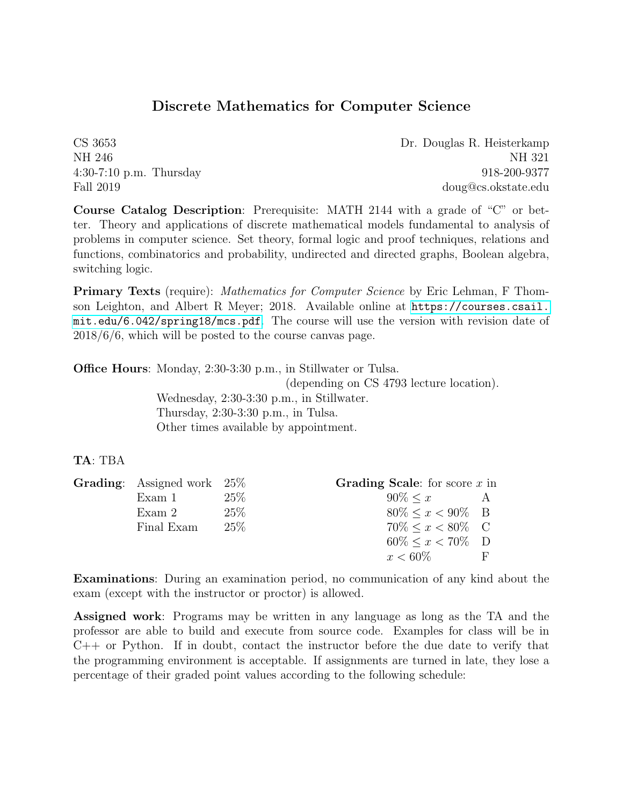## Discrete Mathematics for Computer Science

CS 3653 Dr. Douglas R. Heisterkamp NH 246 NH 321 4:30-7:10 p.m. Thursday 918-200-9377 Fall 2019 doug@cs.okstate.edu

Course Catalog Description: Prerequisite: MATH 2144 with a grade of "C" or better. Theory and applications of discrete mathematical models fundamental to analysis of problems in computer science. Set theory, formal logic and proof techniques, relations and functions, combinatorics and probability, undirected and directed graphs, Boolean algebra, switching logic.

**Primary Texts** (require): *Mathematics for Computer Science* by Eric Lehman, F Thomson Leighton, and Albert R Meyer; 2018. Available online at [https://courses.csail.](https://courses.csail.mit.edu/6.042/spring18/mcs.pdf) [mit.edu/6.042/spring18/mcs.pdf](https://courses.csail.mit.edu/6.042/spring18/mcs.pdf). The course will use the version with revision date of 2018/6/6, which will be posted to the course canvas page.

Office Hours: Monday, 2:30-3:30 p.m., in Stillwater or Tulsa.

(depending on CS 4793 lecture location). Wednesday, 2:30-3:30 p.m., in Stillwater. Thursday, 2:30-3:30 p.m., in Tulsa. Other times available by appointment.

## TA: TBA

| <b>Grading:</b> Assigned work $25\%$ |        | <b>Grading Scale:</b> for score $x$ in |   |
|--------------------------------------|--------|----------------------------------------|---|
| Exam 1                               | 25%    | $90\% \leq x$ A                        |   |
| Exam 2                               | $25\%$ | $80\% \leq x < 90\%$ B                 |   |
| Final Exam                           | $25\%$ | $70\% \leq x \leq 80\%$ C              |   |
|                                      |        | $60\% \leq x < 70\%$ D                 |   |
|                                      |        | $x < 60\%$                             | H |

Examinations: During an examination period, no communication of any kind about the exam (except with the instructor or proctor) is allowed.

Assigned work: Programs may be written in any language as long as the TA and the professor are able to build and execute from source code. Examples for class will be in C++ or Python. If in doubt, contact the instructor before the due date to verify that the programming environment is acceptable. If assignments are turned in late, they lose a percentage of their graded point values according to the following schedule: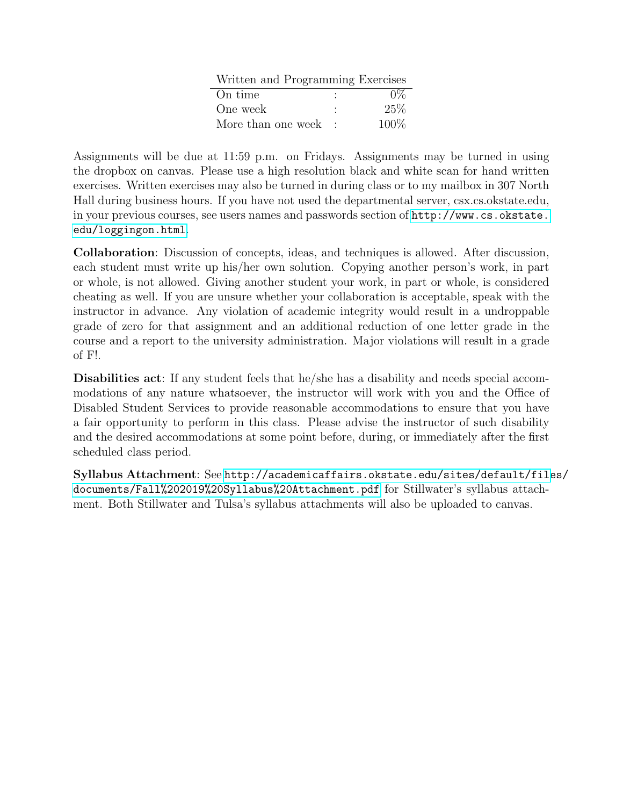| Written and Programming Exercises |         |
|-----------------------------------|---------|
| On time                           | $0\%$   |
| One week                          | 25%     |
| More than one week                | $100\%$ |

Assignments will be due at 11:59 p.m. on Fridays. Assignments may be turned in using the dropbox on canvas. Please use a high resolution black and white scan for hand written exercises. Written exercises may also be turned in during class or to my mailbox in 307 North Hall during business hours. If you have not used the departmental server, csx.cs.okstate.edu, in your previous courses, see users names and passwords section of [http://www.cs.okstate.](http://www.cs.okstate.edu/loggingon.html) [edu/loggingon.html](http://www.cs.okstate.edu/loggingon.html).

Collaboration: Discussion of concepts, ideas, and techniques is allowed. After discussion, each student must write up his/her own solution. Copying another person's work, in part or whole, is not allowed. Giving another student your work, in part or whole, is considered cheating as well. If you are unsure whether your collaboration is acceptable, speak with the instructor in advance. Any violation of academic integrity would result in a undroppable grade of zero for that assignment and an additional reduction of one letter grade in the course and a report to the university administration. Major violations will result in a grade of F!.

Disabilities act: If any student feels that he/she has a disability and needs special accommodations of any nature whatsoever, the instructor will work with you and the Office of Disabled Student Services to provide reasonable accommodations to ensure that you have a fair opportunity to perform in this class. Please advise the instructor of such disability and the desired accommodations at some point before, during, or immediately after the first scheduled class period.

Syllabus Attachment: See [http://academicaffairs.okstate.edu/sites/default/file]( http://academicaffairs.okstate.edu/sites/default/files/documents/Fall%202019%20Syllabus%20Attachment.pdf )s/ [documents/Fall%202019%20Syllabus%20Attachment.pdf]( http://academicaffairs.okstate.edu/sites/default/files/documents/Fall%202019%20Syllabus%20Attachment.pdf ) for Stillwater's syllabus attachment. Both Stillwater and Tulsa's syllabus attachments will also be uploaded to canvas.